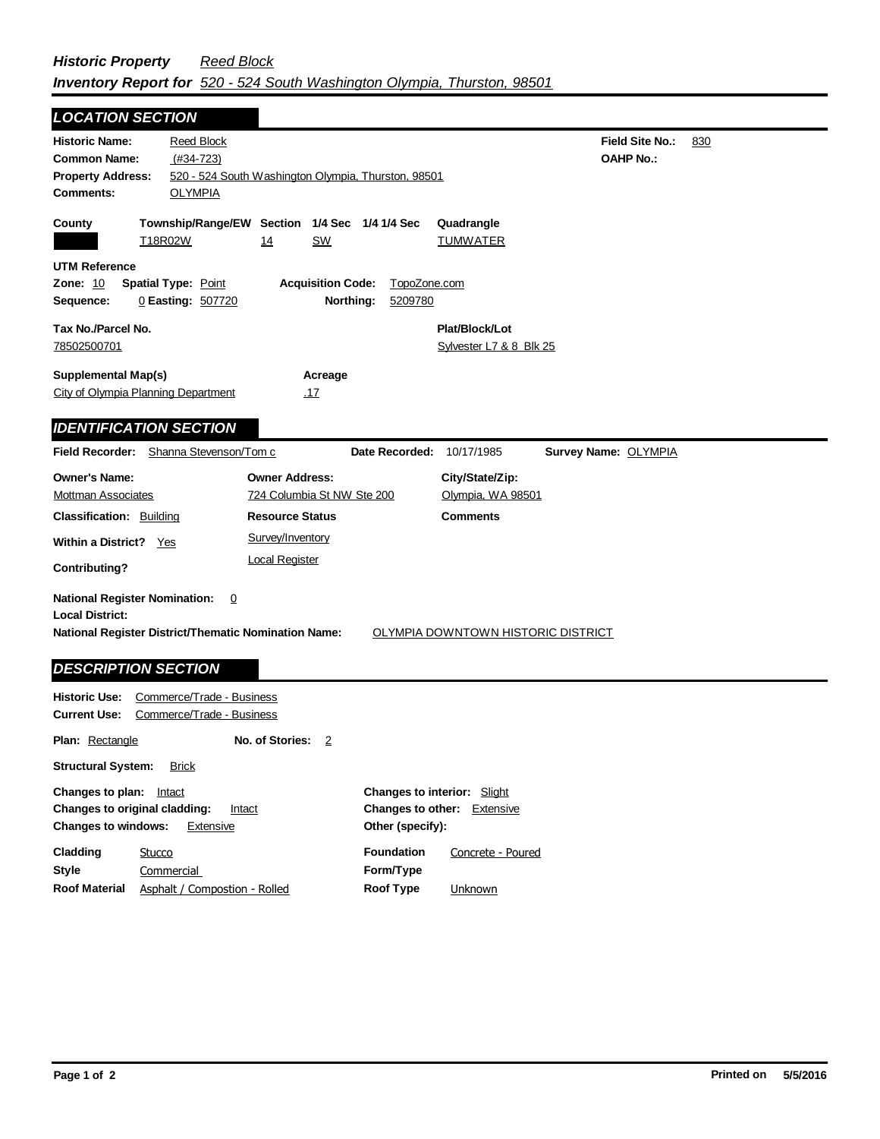## *Historic Property Reed Block Inventory Report for 520 - 524 South Washington Olympia, Thurston, 98501*

| <b>LOCATION SECTION</b>                                                                                                |                                                        |                                                           |                         |                                           |                                            |     |
|------------------------------------------------------------------------------------------------------------------------|--------------------------------------------------------|-----------------------------------------------------------|-------------------------|-------------------------------------------|--------------------------------------------|-----|
| <b>Historic Name:</b><br><b>Common Name:</b><br><b>Property Address:</b><br>Comments:                                  | <b>Reed Block</b><br>$(#34-723)$<br><b>OLYMPIA</b>     | 520 - 524 South Washington Olympia, Thurston, 98501       |                         |                                           | <b>Field Site No.:</b><br><b>OAHP No.:</b> | 830 |
| County                                                                                                                 | T18R02W                                                | Township/Range/EW Section 1/4 Sec 1/4 1/4 Sec<br>SW<br>14 |                         | Quadrangle<br><b>TUMWATER</b>             |                                            |     |
| <b>UTM Reference</b><br><b>Zone: 10</b><br>Sequence:                                                                   | <b>Spatial Type: Point</b><br>0 Easting: 507720        | <b>Acquisition Code:</b><br>Northing:                     | TopoZone.com<br>5209780 |                                           |                                            |     |
| Tax No./Parcel No.<br>78502500701                                                                                      |                                                        |                                                           |                         | Plat/Block/Lot<br>Sylvester L7 & 8 Blk 25 |                                            |     |
| <b>Supplemental Map(s)</b><br>City of Olympia Planning Department                                                      |                                                        | Acreage<br><u>.17</u>                                     |                         |                                           |                                            |     |
| <b>IDENTIFICATION SECTION</b>                                                                                          |                                                        |                                                           |                         |                                           |                                            |     |
| <b>Field Recorder:</b>                                                                                                 | Shanna Stevenson/Tom c                                 |                                                           | Date Recorded:          | 10/17/1985                                | Survey Name: OLYMPIA                       |     |
| <b>Owner's Name:</b><br><b>Mottman Associates</b>                                                                      |                                                        | <b>Owner Address:</b><br>724 Columbia St NW Ste 200       |                         | City/State/Zip:<br>Olympia, WA 98501      |                                            |     |
| <b>Classification: Building</b>                                                                                        |                                                        | <b>Resource Status</b><br>Survey/Inventory                |                         | <b>Comments</b>                           |                                            |     |
| <b>Within a District?</b><br><b>Contributing?</b>                                                                      | Yes<br><b>Local Register</b>                           |                                                           |                         |                                           |                                            |     |
| <b>National Register Nomination:</b><br><b>Local District:</b><br>National Register District/Thematic Nomination Name: | 0                                                      |                                                           |                         | OLYMPIA DOWNTOWN HISTORIC DISTRICT        |                                            |     |
| <b>DESCRIPTION SECTION</b>                                                                                             |                                                        |                                                           |                         |                                           |                                            |     |
| <b>Historic Use:</b><br><b>Current Use:</b>                                                                            | Commerce/Trade - Business<br>Commerce/Trade - Business |                                                           |                         |                                           |                                            |     |
| Plan: Rectangle                                                                                                        |                                                        | No. of Stories:<br>2                                      |                         |                                           |                                            |     |
| <b>Structural System:</b>                                                                                              | <b>Brick</b>                                           |                                                           |                         |                                           |                                            |     |

| Changes to plan:              | Intact                        | <b>Changes to interior:</b> Slight |                   |
|-------------------------------|-------------------------------|------------------------------------|-------------------|
| Changes to original cladding: | Intact                        | Changes to other:                  | Extensive         |
| <b>Changes to windows:</b>    | Extensive                     | Other (specify):                   |                   |
| Cladding                      | Stucco                        | <b>Foundation</b>                  | Concrete - Poured |
| <b>Style</b>                  | Commercial                    | Form/Type                          |                   |
| <b>Roof Material</b>          | Asphalt / Compostion - Rolled | Roof Type                          | Unknown           |